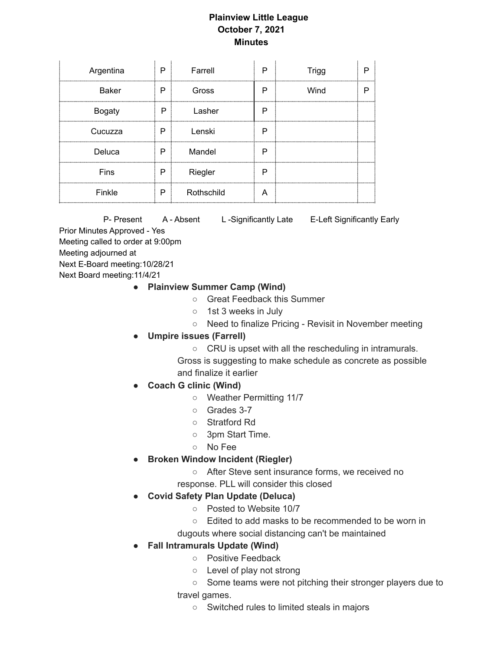## **Plainview Little League October 7, 2021 Minutes**

| Argentina     | P | Farrell    | P                    | <b>Trigg</b> |  |
|---------------|---|------------|----------------------|--------------|--|
| <b>Baker</b>  | P | Gross      | P                    | Wind         |  |
| <b>Bogaty</b> | P | Lasher     | Р                    |              |  |
| Cucuzza       | P | Lenski     | P<br>,,,,,,,,,,,,,,, |              |  |
| Deluca        | P | Mandel     | Р                    |              |  |
| Fins          | P | Riegler    | Р                    |              |  |
| Finkle        | P | Rothschild | А                    |              |  |

P- Present A - Absent L-Significantly Late E-Left Significantly Early Prior Minutes Approved - Yes Meeting called to order at 9:00pm Meeting adjourned at Next E-Board meeting:10/28/21 Next Board meeting:11/4/21

- **● Plainview Summer Camp (Wind)**
	- Great Feedback this Summer
	- 1st 3 weeks in July
	- Need to finalize Pricing Revisit in November meeting
- **● Umpire issues (Farrell)**
	- **○** CRU is upset with all the rescheduling in intramurals.

Gross is suggesting to make schedule as concrete as possible and finalize it earlier

- **● Coach G clinic (Wind)**
	- **○** Weather Permitting 11/7
	- Grades 3-7
	- Stratford Rd
	- 3pm Start Time.
	- No Fee
- **● Broken Window Incident (Riegler)**
	- After Steve sent insurance forms, we received no
	- response. PLL will consider this closed
- **● Covid Safety Plan Update (Deluca)**
	- **○** Posted to Website 10/7
	- Edited to add masks to be recommended to be worn in
	- dugouts where social distancing can't be maintained
- **Fall Intramurals Update (Wind)**
	- Positive Feedback
	- Level of play not strong
	- Some teams were not pitching their stronger players due to travel games.
		- - Switched rules to limited steals in majors